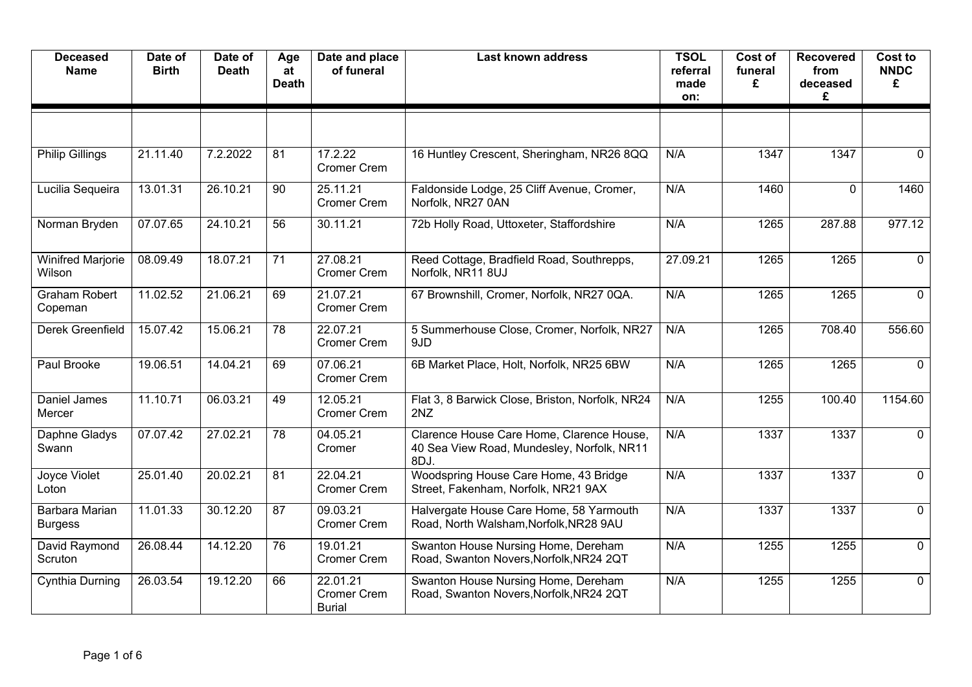| <b>Deceased</b><br><b>Name</b>     | Date of<br><b>Birth</b> | Date of<br><b>Death</b> | Age<br>at<br><b>Death</b> | Date and place<br>of funeral                    | <b>Last known address</b>                                                                       | <b>TSOL</b><br>referral<br>made<br>on: | Cost of<br>funeral<br>£ | <b>Recovered</b><br>from<br>deceased<br>£ | <b>Cost to</b><br><b>NNDC</b><br>£ |
|------------------------------------|-------------------------|-------------------------|---------------------------|-------------------------------------------------|-------------------------------------------------------------------------------------------------|----------------------------------------|-------------------------|-------------------------------------------|------------------------------------|
|                                    |                         |                         |                           |                                                 |                                                                                                 |                                        |                         |                                           |                                    |
| <b>Philip Gillings</b>             | 21.11.40                | 7.2.2022                | 81                        | 17.2.22<br><b>Cromer Crem</b>                   | 16 Huntley Crescent, Sheringham, NR26 8QQ                                                       | N/A                                    | 1347                    | 1347                                      | $\mathbf 0$                        |
| Lucilia Sequeira                   | 13.01.31                | 26.10.21                | $\overline{90}$           | 25.11.21<br><b>Cromer Crem</b>                  | Faldonside Lodge, 25 Cliff Avenue, Cromer,<br>Norfolk, NR27 0AN                                 | N/A                                    | 1460                    | $\mathbf 0$                               | 1460                               |
| Norman Bryden                      | 07.07.65                | 24.10.21                | $\overline{56}$           | 30.11.21                                        | 72b Holly Road, Uttoxeter, Staffordshire                                                        | N/A                                    | 1265                    | 287.88                                    | 977.12                             |
| <b>Winifred Marjorie</b><br>Wilson | 08.09.49                | 18.07.21                | $\overline{71}$           | 27.08.21<br><b>Cromer Crem</b>                  | Reed Cottage, Bradfield Road, Southrepps,<br>Norfolk, NR11 8UJ                                  | 27.09.21                               | 1265                    | 1265                                      | $\overline{0}$                     |
| <b>Graham Robert</b><br>Copeman    | 11.02.52                | 21.06.21                | 69                        | 21.07.21<br><b>Cromer Crem</b>                  | 67 Brownshill, Cromer, Norfolk, NR27 0QA.                                                       | N/A                                    | 1265                    | 1265                                      | $\mathbf{0}$                       |
| Derek Greenfield                   | 15.07.42                | 15.06.21                | 78                        | 22.07.21<br><b>Cromer Crem</b>                  | 5 Summerhouse Close, Cromer, Norfolk, NR27<br>9JD                                               | N/A                                    | 1265                    | 708.40                                    | 556.60                             |
| Paul Brooke                        | 19.06.51                | 14.04.21                | 69                        | 07.06.21<br><b>Cromer Crem</b>                  | 6B Market Place, Holt, Norfolk, NR25 6BW                                                        | N/A                                    | 1265                    | 1265                                      | $\mathbf 0$                        |
| Daniel James<br>Mercer             | 11.10.71                | 06.03.21                | 49                        | 12.05.21<br><b>Cromer Crem</b>                  | Flat 3, 8 Barwick Close, Briston, Norfolk, NR24<br>2NZ                                          | N/A                                    | 1255                    | 100.40                                    | 1154.60                            |
| Daphne Gladys<br>Swann             | 07.07.42                | 27.02.21                | 78                        | 04.05.21<br>Cromer                              | Clarence House Care Home, Clarence House,<br>40 Sea View Road, Mundesley, Norfolk, NR11<br>8DJ. | N/A                                    | 1337                    | 1337                                      | $\mathbf 0$                        |
| Joyce Violet<br>Loton              | 25.01.40                | 20.02.21                | 81                        | 22.04.21<br><b>Cromer Crem</b>                  | Woodspring House Care Home, 43 Bridge<br>Street, Fakenham, Norfolk, NR21 9AX                    | N/A                                    | 1337                    | 1337                                      | $\overline{0}$                     |
| Barbara Marian<br><b>Burgess</b>   | 11.01.33                | 30.12.20                | 87                        | 09.03.21<br>Cromer Crem                         | Halvergate House Care Home, 58 Yarmouth<br>Road, North Walsham, Norfolk, NR28 9AU               | N/A                                    | 1337                    | 1337                                      | $\mathbf 0$                        |
| David Raymond<br>Scruton           | 26.08.44                | 14.12.20                | 76                        | 19.01.21<br><b>Cromer Crem</b>                  | Swanton House Nursing Home, Dereham<br>Road, Swanton Novers, Norfolk, NR24 2QT                  | N/A                                    | 1255                    | 1255                                      | $\mathbf 0$                        |
| Cynthia Durning                    | 26.03.54                | 19.12.20                | 66                        | 22.01.21<br><b>Cromer Crem</b><br><b>Burial</b> | Swanton House Nursing Home, Dereham<br>Road, Swanton Novers, Norfolk, NR24 2QT                  | N/A                                    | 1255                    | 1255                                      | $\mathbf 0$                        |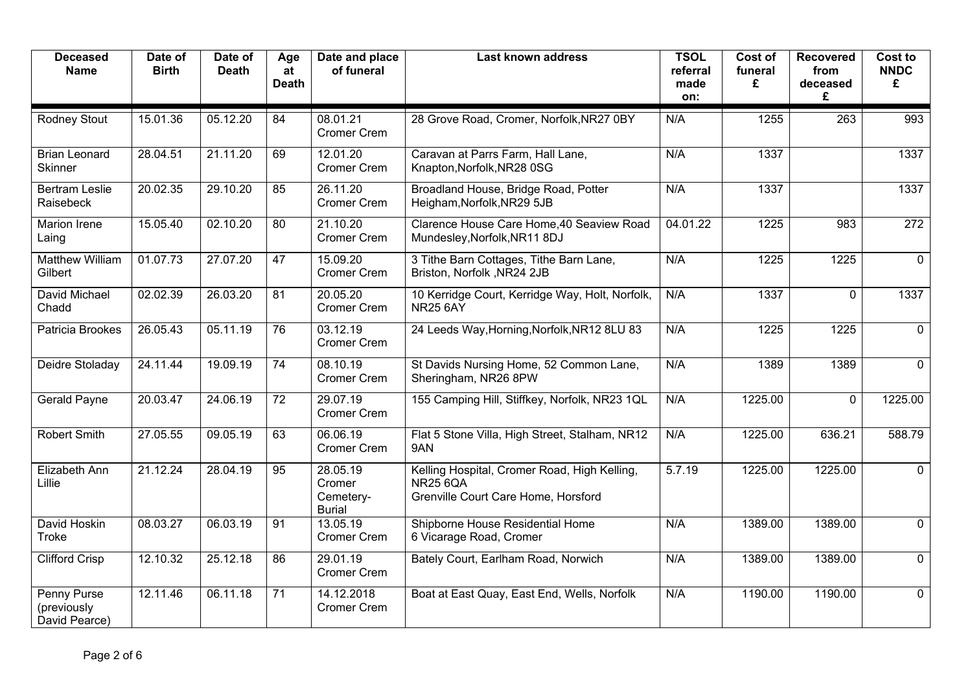| <b>Deceased</b><br><b>Name</b>              | Date of<br><b>Birth</b> | Date of<br><b>Death</b> | Age<br>at<br><b>Death</b> | Date and place<br>of funeral                     | <b>Last known address</b>                                                                              | <b>TSOL</b><br>referral<br>made<br>on: | Cost of<br>funeral<br>£ | <b>Recovered</b><br>from<br>deceased<br>£ | Cost to<br><b>NNDC</b><br>£ |
|---------------------------------------------|-------------------------|-------------------------|---------------------------|--------------------------------------------------|--------------------------------------------------------------------------------------------------------|----------------------------------------|-------------------------|-------------------------------------------|-----------------------------|
| <b>Rodney Stout</b>                         | 15.01.36                | 05.12.20                | 84                        | 08.01.21<br><b>Cromer Crem</b>                   | 28 Grove Road, Cromer, Norfolk, NR27 0BY                                                               | N/A                                    | 1255                    | 263                                       | 993                         |
| <b>Brian Leonard</b><br>Skinner             | 28.04.51                | 21.11.20                | 69                        | 12.01.20<br><b>Cromer Crem</b>                   | Caravan at Parrs Farm, Hall Lane,<br>Knapton, Norfolk, NR28 0SG                                        | N/A                                    | 1337                    |                                           | 1337                        |
| <b>Bertram Leslie</b><br>Raisebeck          | 20.02.35                | 29.10.20                | 85                        | 26.11.20<br><b>Cromer Crem</b>                   | Broadland House, Bridge Road, Potter<br>Heigham, Norfolk, NR29 5JB                                     | N/A                                    | 1337                    |                                           | 1337                        |
| <b>Marion Irene</b><br>Laing                | 15.05.40                | 02.10.20                | 80                        | 21.10.20<br><b>Cromer Crem</b>                   | Clarence House Care Home, 40 Seaview Road<br>Mundesley, Norfolk, NR11 8DJ                              | 04.01.22                               | 1225                    | $\overline{983}$                          | 272                         |
| <b>Matthew William</b><br>Gilbert           | 01.07.73                | 27.07.20                | 47                        | 15.09.20<br><b>Cromer Crem</b>                   | 3 Tithe Barn Cottages, Tithe Barn Lane,<br>Briston, Norfolk, NR24 2JB                                  | N/A                                    | 1225                    | 1225                                      | $\mathbf{0}$                |
| David Michael<br>Chadd                      | 02.02.39                | 26.03.20                | 81                        | 20.05.20<br><b>Cromer Crem</b>                   | 10 Kerridge Court, Kerridge Way, Holt, Norfolk,<br><b>NR25 6AY</b>                                     | N/A                                    | 1337                    | $\mathbf 0$                               | 1337                        |
| Patricia Brookes                            | 26.05.43                | 05.11.19                | 76                        | 03.12.19<br><b>Cromer Crem</b>                   | 24 Leeds Way, Horning, Norfolk, NR12 8LU 83                                                            | N/A                                    | 1225                    | 1225                                      | $\overline{0}$              |
| Deidre Stoladay                             | 24.11.44                | 19.09.19                | 74                        | 08.10.19<br><b>Cromer Crem</b>                   | St Davids Nursing Home, 52 Common Lane,<br>Sheringham, NR26 8PW                                        | N/A                                    | 1389                    | 1389                                      | $\overline{0}$              |
| Gerald Payne                                | 20.03.47                | 24.06.19                | 72                        | 29.07.19<br><b>Cromer Crem</b>                   | 155 Camping Hill, Stiffkey, Norfolk, NR23 1QL                                                          | N/A                                    | 1225.00                 | $\overline{0}$                            | 1225.00                     |
| <b>Robert Smith</b>                         | 27.05.55                | 09.05.19                | 63                        | 06.06.19<br><b>Cromer Crem</b>                   | Flat 5 Stone Villa, High Street, Stalham, NR12<br>9AN                                                  | N/A                                    | 1225.00                 | 636.21                                    | 588.79                      |
| Elizabeth Ann<br>Lillie                     | 21.12.24                | 28.04.19                | 95                        | 28.05.19<br>Cromer<br>Cemetery-<br><b>Burial</b> | Kelling Hospital, Cromer Road, High Kelling,<br><b>NR25 6QA</b><br>Grenville Court Care Home, Horsford | 5.7.19                                 | 1225.00                 | 1225.00                                   | $\mathbf{0}$                |
| David Hoskin<br>Troke                       | 08.03.27                | 06.03.19                | 91                        | 13.05.19<br><b>Cromer Crem</b>                   | Shipborne House Residential Home<br>6 Vicarage Road, Cromer                                            | N/A                                    | 1389.00                 | 1389.00                                   | $\mathbf 0$                 |
| <b>Clifford Crisp</b>                       | 12.10.32                | 25.12.18                | 86                        | 29.01.19<br><b>Cromer Crem</b>                   | Bately Court, Earlham Road, Norwich                                                                    | N/A                                    | 1389.00                 | 1389.00                                   | $\mathbf 0$                 |
| Penny Purse<br>(previously<br>David Pearce) | $\overline{12.11.46}$   | 06.11.18                | 71                        | 14.12.2018<br><b>Cromer Crem</b>                 | Boat at East Quay, East End, Wells, Norfolk                                                            | N/A                                    | 1190.00                 | 1190.00                                   | $\mathbf 0$                 |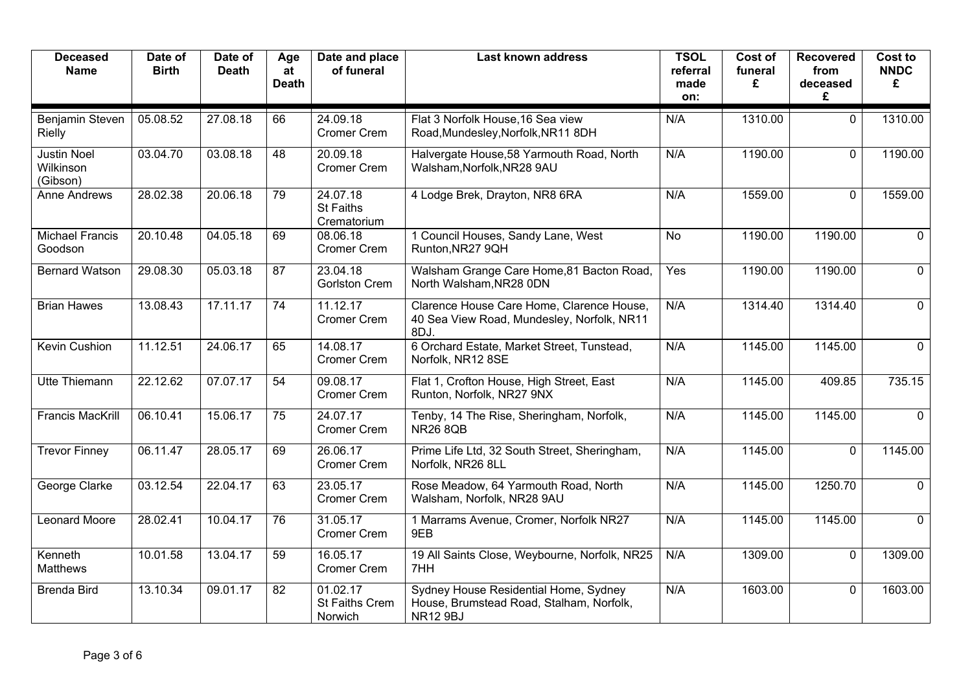| <b>Deceased</b><br><b>Name</b>              | Date of<br><b>Birth</b> | Date of<br><b>Death</b> | Age<br>at<br><b>Death</b> | Date and place<br>of funeral                | <b>Last known address</b>                                                                            | <b>TSOL</b><br>referral<br>made<br>on: | Cost of<br>funeral<br>£ | <b>Recovered</b><br>from<br>deceased<br>£ | <b>Cost to</b><br><b>NNDC</b><br>£ |
|---------------------------------------------|-------------------------|-------------------------|---------------------------|---------------------------------------------|------------------------------------------------------------------------------------------------------|----------------------------------------|-------------------------|-------------------------------------------|------------------------------------|
| Benjamin Steven<br>Rielly                   | 05.08.52                | 27.08.18                | 66                        | 24.09.18<br><b>Cromer Crem</b>              | Flat 3 Norfolk House, 16 Sea view<br>Road, Mundesley, Norfolk, NR11 8DH                              | N/A                                    | 1310.00                 | $\Omega$                                  | 1310.00                            |
| <b>Justin Noel</b><br>Wilkinson<br>(Gibson) | 03.04.70                | 03.08.18                | 48                        | 20.09.18<br><b>Cromer Crem</b>              | Halvergate House, 58 Yarmouth Road, North<br>Walsham, Norfolk, NR28 9AU                              | N/A                                    | 1190.00                 | $\mathbf 0$                               | 1190.00                            |
| <b>Anne Andrews</b>                         | 28.02.38                | 20.06.18                | 79                        | 24.07.18<br><b>St Faiths</b><br>Crematorium | 4 Lodge Brek, Drayton, NR8 6RA                                                                       | N/A                                    | 1559.00                 | $\Omega$                                  | 1559.00                            |
| <b>Michael Francis</b><br>Goodson           | 20.10.48                | 04.05.18                | 69                        | 08.06.18<br><b>Cromer Crem</b>              | 1 Council Houses, Sandy Lane, West<br>Runton, NR27 9QH                                               | No                                     | 1190.00                 | 1190.00                                   | $\mathbf 0$                        |
| <b>Bernard Watson</b>                       | 29.08.30                | 05.03.18                | $\overline{87}$           | 23.04.18<br><b>Gorlston Crem</b>            | Walsham Grange Care Home, 81 Bacton Road,<br>North Walsham, NR28 0DN                                 | Yes                                    | 1190.00                 | 1190.00                                   | $\mathbf 0$                        |
| <b>Brian Hawes</b>                          | 13.08.43                | 17.11.17                | 74                        | 11.12.17<br><b>Cromer Crem</b>              | Clarence House Care Home, Clarence House,<br>40 Sea View Road, Mundesley, Norfolk, NR11<br>8DJ.      | N/A                                    | 1314.40                 | 1314.40                                   | $\mathbf 0$                        |
| <b>Kevin Cushion</b>                        | 11.12.51                | 24.06.17                | 65                        | 14.08.17<br><b>Cromer Crem</b>              | 6 Orchard Estate, Market Street, Tunstead,<br>Norfolk, NR12 8SE                                      | N/A                                    | 1145.00                 | 1145.00                                   | $\overline{0}$                     |
| <b>Utte Thiemann</b>                        | 22.12.62                | 07.07.17                | $\overline{54}$           | 09.08.17<br><b>Cromer Crem</b>              | Flat 1, Crofton House, High Street, East<br>Runton, Norfolk, NR27 9NX                                | N/A                                    | 1145.00                 | 409.85                                    | 735.15                             |
| <b>Francis MacKrill</b>                     | 06.10.41                | 15.06.17                | $\overline{75}$           | 24.07.17<br><b>Cromer Crem</b>              | Tenby, 14 The Rise, Sheringham, Norfolk,<br><b>NR26 8QB</b>                                          | N/A                                    | 1145.00                 | 1145.00                                   | $\overline{0}$                     |
| <b>Trevor Finney</b>                        | 06.11.47                | 28.05.17                | 69                        | 26.06.17<br><b>Cromer Crem</b>              | Prime Life Ltd, 32 South Street, Sheringham,<br>Norfolk, NR26 8LL                                    | N/A                                    | 1145.00                 | $\mathbf{0}$                              | 1145.00                            |
| George Clarke                               | 03.12.54                | 22.04.17                | 63                        | 23.05.17<br><b>Cromer Crem</b>              | Rose Meadow, 64 Yarmouth Road, North<br>Walsham, Norfolk, NR28 9AU                                   | N/A                                    | 1145.00                 | 1250.70                                   | $\overline{0}$                     |
| <b>Leonard Moore</b>                        | 28.02.41                | 10.04.17                | 76                        | 31.05.17<br><b>Cromer Crem</b>              | 1 Marrams Avenue, Cromer, Norfolk NR27<br>9EB                                                        | N/A                                    | 1145.00                 | 1145.00                                   | $\mathbf 0$                        |
| Kenneth<br>Matthews                         | 10.01.58                | 13.04.17                | $\overline{59}$           | 16.05.17<br><b>Cromer Crem</b>              | 19 All Saints Close, Weybourne, Norfolk, NR25<br>7HH                                                 | N/A                                    | 1309.00                 | $\mathbf 0$                               | 1309.00                            |
| <b>Brenda Bird</b>                          | 13.10.34                | 09.01.17                | 82                        | 01.02.17<br>St Faiths Crem<br>Norwich       | Sydney House Residential Home, Sydney<br>House, Brumstead Road, Stalham, Norfolk,<br><b>NR12 9BJ</b> | N/A                                    | 1603.00                 | $\mathbf 0$                               | 1603.00                            |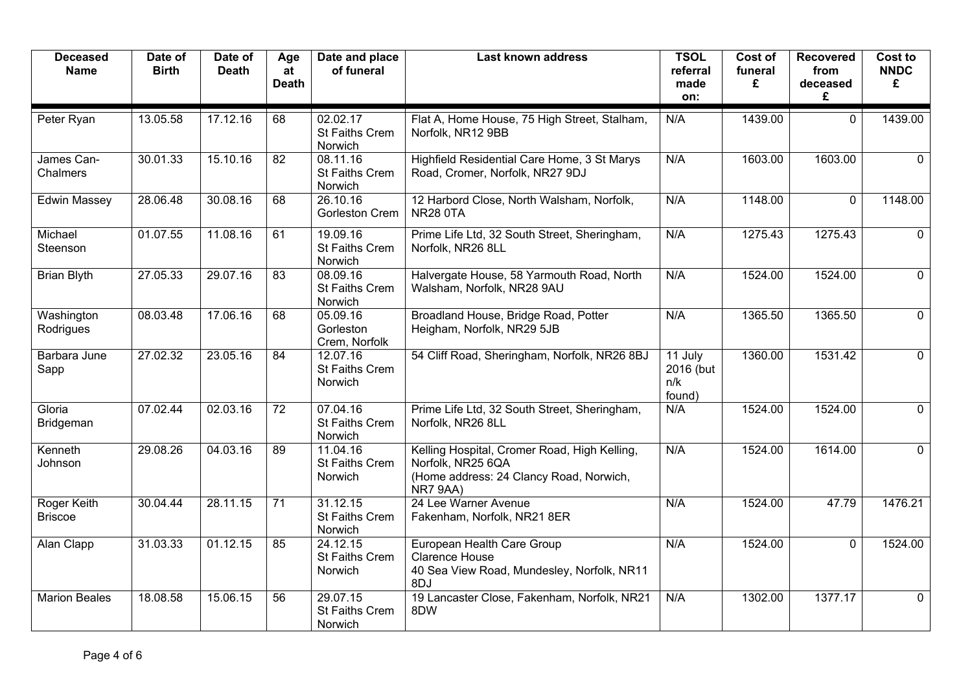| <b>Deceased</b><br><b>Name</b> | Date of<br><b>Birth</b> | Date of<br><b>Death</b> | Age<br>at<br><b>Death</b> | Date and place<br>of funeral           | <b>Last known address</b>                                                                                                | <b>TSOL</b><br>referral<br>made<br>on: | Cost of<br>funeral<br>£ | <b>Recovered</b><br>from<br>deceased<br>£ | <b>Cost to</b><br><b>NNDC</b><br>£ |
|--------------------------------|-------------------------|-------------------------|---------------------------|----------------------------------------|--------------------------------------------------------------------------------------------------------------------------|----------------------------------------|-------------------------|-------------------------------------------|------------------------------------|
| Peter Ryan                     | 13.05.58                | 17.12.16                | 68                        | 02.02.17<br>St Faiths Crem<br>Norwich  | Flat A, Home House, 75 High Street, Stalham,<br>Norfolk, NR12 9BB                                                        | N/A                                    | 1439.00                 | $\mathbf 0$                               | 1439.00                            |
| James Can-<br>Chalmers         | 30.01.33                | 15.10.16                | 82                        | 08.11.16<br>St Faiths Crem<br>Norwich  | Highfield Residential Care Home, 3 St Marys<br>Road, Cromer, Norfolk, NR27 9DJ                                           | N/A                                    | 1603.00                 | 1603.00                                   | $\mathbf 0$                        |
| <b>Edwin Massey</b>            | 28.06.48                | 30.08.16                | 68                        | 26.10.16<br>Gorleston Crem             | 12 Harbord Close, North Walsham, Norfolk,<br><b>NR28 0TA</b>                                                             | N/A                                    | 1148.00                 | $\mathbf 0$                               | 1148.00                            |
| Michael<br>Steenson            | 01.07.55                | 11.08.16                | 61                        | 19.09.16<br>St Faiths Crem<br>Norwich  | Prime Life Ltd, 32 South Street, Sheringham,<br>Norfolk, NR26 8LL                                                        | N/A                                    | 1275.43                 | 1275.43                                   | 0                                  |
| <b>Brian Blyth</b>             | 27.05.33                | 29.07.16                | 83                        | 08.09.16<br>St Faiths Crem<br>Norwich  | Halvergate House, 58 Yarmouth Road, North<br>Walsham, Norfolk, NR28 9AU                                                  | N/A                                    | 1524.00                 | 1524.00                                   | $\mathbf{0}$                       |
| Washington<br>Rodrigues        | 08.03.48                | 17.06.16                | 68                        | 05.09.16<br>Gorleston<br>Crem, Norfolk | Broadland House, Bridge Road, Potter<br>Heigham, Norfolk, NR29 5JB                                                       | N/A                                    | 1365.50                 | 1365.50                                   | $\mathbf 0$                        |
| Barbara June<br>Sapp           | 27.02.32                | 23.05.16                | 84                        | 12.07.16<br>St Faiths Crem<br>Norwich  | 54 Cliff Road, Sheringham, Norfolk, NR26 8BJ                                                                             | 11 July<br>2016 (but<br>n/k<br>found)  | 1360.00                 | 1531.42                                   | $\mathbf 0$                        |
| Gloria<br>Bridgeman            | 07.02.44                | 02.03.16                | $\overline{72}$           | 07.04.16<br>St Faiths Crem<br>Norwich  | Prime Life Ltd, 32 South Street, Sheringham,<br>Norfolk, NR26 8LL                                                        | N/A                                    | 1524.00                 | 1524.00                                   | $\mathbf 0$                        |
| Kenneth<br>Johnson             | 29.08.26                | 04.03.16                | 89                        | 11.04.16<br>St Faiths Crem<br>Norwich  | Kelling Hospital, Cromer Road, High Kelling,<br>Norfolk, NR25 6QA<br>(Home address: 24 Clancy Road, Norwich,<br>NR7 9AA) | N/A                                    | 1524.00                 | 1614.00                                   | $\mathbf{0}$                       |
| Roger Keith<br><b>Briscoe</b>  | 30.04.44                | 28.11.15                | 71                        | 31.12.15<br>St Faiths Crem<br>Norwich  | 24 Lee Warner Avenue<br>Fakenham, Norfolk, NR21 8ER                                                                      | N/A                                    | 1524.00                 | 47.79                                     | 1476.21                            |
| Alan Clapp                     | 31.03.33                | 01.12.15                | 85                        | 24.12.15<br>St Faiths Crem<br>Norwich  | European Health Care Group<br>Clarence House<br>40 Sea View Road, Mundesley, Norfolk, NR11<br>8DJ                        | N/A                                    | 1524.00                 | $\mathbf 0$                               | 1524.00                            |
| <b>Marion Beales</b>           | 18.08.58                | 15.06.15                | 56                        | 29.07.15<br>St Faiths Crem<br>Norwich  | 19 Lancaster Close, Fakenham, Norfolk, NR21<br>8DW                                                                       | N/A                                    | 1302.00                 | 1377.17                                   | 0                                  |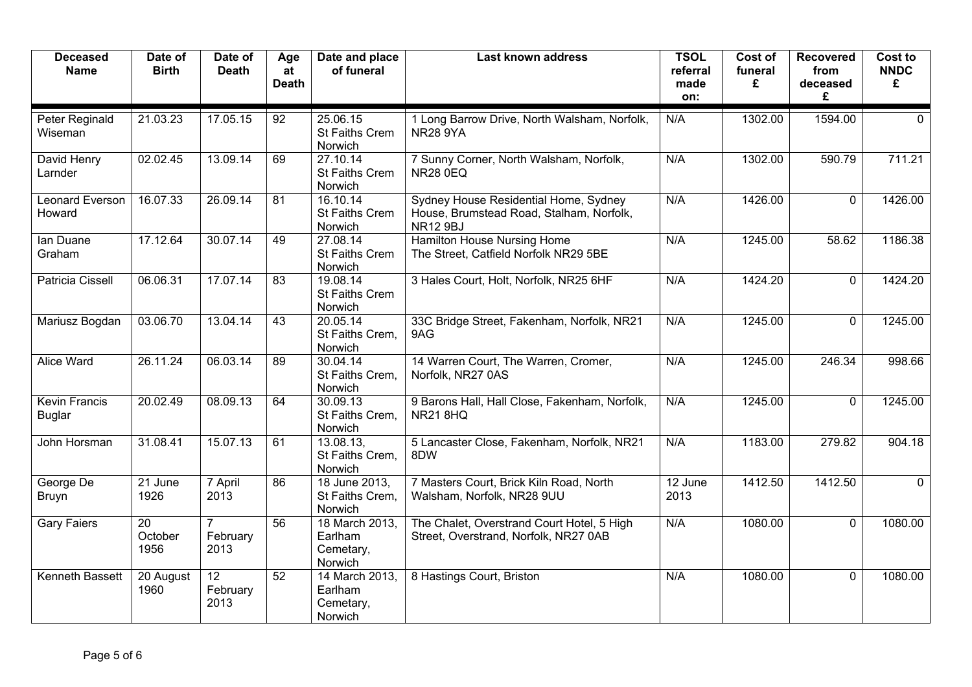| <b>Deceased</b><br><b>Name</b>        | Date of<br><b>Birth</b>            | Date of<br><b>Death</b>             | Age<br>at<br><b>Death</b> | Date and place<br>of funeral                      | <b>Last known address</b>                                                                            | <b>TSOL</b><br>referral<br>made<br>on: | Cost of<br>funeral<br>£ | <b>Recovered</b><br>from<br>deceased<br>£ | Cost to<br><b>NNDC</b><br>£ |
|---------------------------------------|------------------------------------|-------------------------------------|---------------------------|---------------------------------------------------|------------------------------------------------------------------------------------------------------|----------------------------------------|-------------------------|-------------------------------------------|-----------------------------|
| Peter Reginald<br>Wiseman             | 21.03.23                           | 17.05.15                            | 92                        | 25.06.15<br>St Faiths Crem<br>Norwich             | 1 Long Barrow Drive, North Walsham, Norfolk,<br><b>NR28 9YA</b>                                      | N/A                                    | 1302.00                 | 1594.00                                   | $\Omega$                    |
| David Henry<br>Larnder                | 02.02.45                           | 13.09.14                            | 69                        | 27.10.14<br>St Faiths Crem<br>Norwich             | 7 Sunny Corner, North Walsham, Norfolk,<br><b>NR28 0EQ</b>                                           | N/A                                    | 1302.00                 | 590.79                                    | 711.21                      |
| <b>Leonard Everson</b><br>Howard      | 16.07.33                           | 26.09.14                            | 81                        | 16.10.14<br>St Faiths Crem<br>Norwich             | Sydney House Residential Home, Sydney<br>House, Brumstead Road, Stalham, Norfolk,<br><b>NR12 9BJ</b> | N/A                                    | 1426.00                 | $\mathbf 0$                               | 1426.00                     |
| lan Duane<br>Graham                   | 17.12.64                           | 30.07.14                            | 49                        | 27.08.14<br>St Faiths Crem<br>Norwich             | Hamilton House Nursing Home<br>The Street, Catfield Norfolk NR29 5BE                                 | N/A                                    | 1245.00                 | 58.62                                     | 1186.38                     |
| Patricia Cissell                      | 06.06.31                           | 17.07.14                            | 83                        | 19.08.14<br>St Faiths Crem<br>Norwich             | 3 Hales Court, Holt, Norfolk, NR25 6HF                                                               | N/A                                    | 1424.20                 | $\mathbf 0$                               | 1424.20                     |
| Mariusz Bogdan                        | 03.06.70                           | 13.04.14                            | 43                        | 20.05.14<br>St Faiths Crem,<br>Norwich            | 33C Bridge Street, Fakenham, Norfolk, NR21<br>9AG                                                    | N/A                                    | 1245.00                 | $\mathbf 0$                               | 1245.00                     |
| <b>Alice Ward</b>                     | 26.11.24                           | 06.03.14                            | 89                        | 30.04.14<br>St Faiths Crem.<br>Norwich            | 14 Warren Court, The Warren, Cromer,<br>Norfolk, NR27 0AS                                            | N/A                                    | 1245.00                 | 246.34                                    | 998.66                      |
| <b>Kevin Francis</b><br><b>Buglar</b> | 20.02.49                           | 08.09.13                            | 64                        | 30.09.13<br>St Faiths Crem.<br>Norwich            | 9 Barons Hall, Hall Close, Fakenham, Norfolk,<br><b>NR21 8HQ</b>                                     | N/A                                    | 1245.00                 | $\mathbf 0$                               | 1245.00                     |
| John Horsman                          | 31.08.41                           | 15.07.13                            | 61                        | 13.08.13,<br>St Faiths Crem,<br>Norwich           | 5 Lancaster Close, Fakenham, Norfolk, NR21<br>8DW                                                    | N/A                                    | 1183.00                 | 279.82                                    | 904.18                      |
| George De<br><b>Bruyn</b>             | 21 June<br>1926                    | 7 April<br>2013                     | 86                        | 18 June 2013,<br>St Faiths Crem.<br>Norwich       | 7 Masters Court, Brick Kiln Road, North<br>Walsham, Norfolk, NR28 9UU                                | 12 June<br>2013                        | 1412.50                 | 1412.50                                   | $\mathbf 0$                 |
| <b>Gary Faiers</b>                    | $\overline{20}$<br>October<br>1956 | $\overline{7}$<br>February<br>2013  | $\overline{56}$           | 18 March 2013,<br>Earlham<br>Cemetary,<br>Norwich | The Chalet, Overstrand Court Hotel, 5 High<br>Street, Overstrand, Norfolk, NR27 0AB                  | N/A                                    | 1080.00                 | $\mathbf 0$                               | 1080.00                     |
| Kenneth Bassett                       | 20 August<br>1960                  | $\overline{12}$<br>February<br>2013 | $\overline{52}$           | 14 March 2013,<br>Earlham<br>Cemetary,<br>Norwich | 8 Hastings Court, Briston                                                                            | N/A                                    | 1080.00                 | $\mathbf 0$                               | 1080.00                     |